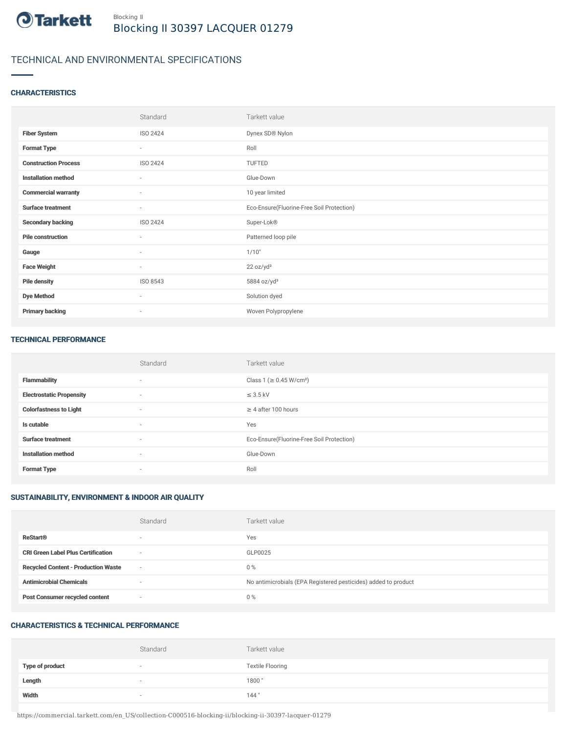

# TECHNICAL AND ENVIRONMENTAL SPECIFICATIONS

## **CHARACTERISTICS**

|                             | Standard                 | Tarkett value                             |
|-----------------------------|--------------------------|-------------------------------------------|
| <b>Fiber System</b>         | ISO 2424                 | Dynex SD® Nylon                           |
| <b>Format Type</b>          | $\sim$                   | Roll                                      |
| <b>Construction Process</b> | ISO 2424                 | TUFTED                                    |
| <b>Installation method</b>  | $\sim$                   | Glue-Down                                 |
| <b>Commercial warranty</b>  | $\sim$                   | 10 year limited                           |
| <b>Surface treatment</b>    | $\sim$                   | Eco-Ensure(Fluorine-Free Soil Protection) |
| <b>Secondary backing</b>    | ISO 2424                 | Super-Lok®                                |
| <b>Pile construction</b>    | $\sim$                   | Patterned loop pile                       |
| Gauge                       | $\overline{\phantom{a}}$ | 1/10"                                     |
| <b>Face Weight</b>          | $\sim$                   | 22 oz/yd <sup>2</sup>                     |
| <b>Pile density</b>         | ISO 8543                 | 5884 oz/yd <sup>3</sup>                   |
| <b>Dye Method</b>           | $\sim$                   | Solution dyed                             |
| <b>Primary backing</b>      | $\sim$                   | Woven Polypropylene                       |

#### TECHNICAL PERFORMANCE

|                                 | Standard                 | Tarkett value                             |
|---------------------------------|--------------------------|-------------------------------------------|
| <b>Flammability</b>             | $\sim$                   | Class 1 (≥ 0.45 W/cm <sup>2</sup> )       |
| <b>Electrostatic Propensity</b> | $\overline{\phantom{a}}$ | $\leq$ 3.5 kV                             |
| <b>Colorfastness to Light</b>   | $\sim$                   | $\geq$ 4 after 100 hours                  |
| Is cutable                      | $\sim$                   | Yes                                       |
| <b>Surface treatment</b>        | $\sim$                   | Eco-Ensure(Fluorine-Free Soil Protection) |
| <b>Installation method</b>      | $\sim$                   | Glue-Down                                 |
| <b>Format Type</b>              | $\sim$                   | Roll                                      |

# SUSTAINABILITY, ENVIRONMENT & INDOOR AIR QUALITY

|                                            | Standard                 | Tarkett value                                                  |
|--------------------------------------------|--------------------------|----------------------------------------------------------------|
| <b>ReStart®</b>                            | $\overline{\phantom{a}}$ | Yes                                                            |
| <b>CRI Green Label Plus Certification</b>  | $\sim$                   | GLP0025                                                        |
| <b>Recycled Content - Production Waste</b> | $\sim$                   | $0\%$                                                          |
| <b>Antimicrobial Chemicals</b>             |                          | No antimicrobials (EPA Registered pesticides) added to product |
| <b>Post Consumer recycled content</b>      | $\sim$                   | $0\%$                                                          |

## CHARACTERISTICS & TECHNICAL PERFORMANCE

|                        | Standard                 | Tarkett value           |
|------------------------|--------------------------|-------------------------|
| <b>Type of product</b> | $\overline{\phantom{a}}$ | <b>Textile Flooring</b> |
| Length                 |                          | 1800"                   |
| Width                  |                          | 144"                    |

https://commercial.tarkett.com/en\_US/collection-C000516-blocking-ii/blocking-ii-30397-lacquer-01279